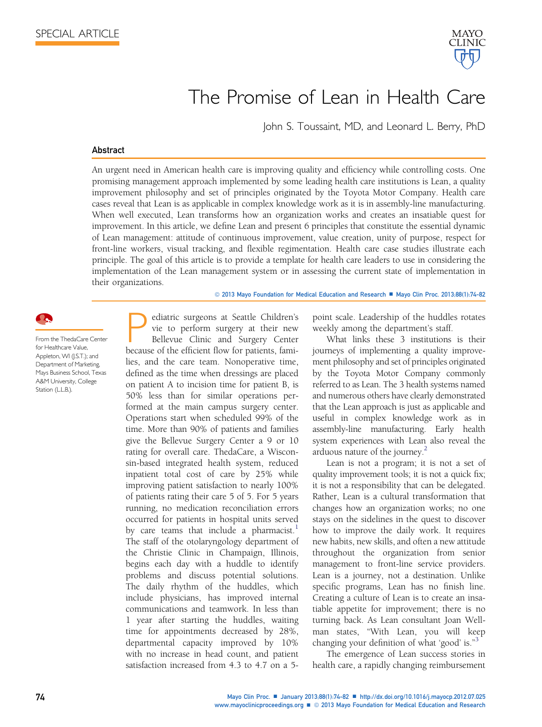

# The Promise of Lean in Health Care

John S. Toussaint, MD, and Leonard L. Berry, PhD

#### Abstract

An urgent need in American health care is improving quality and efficiency while controlling costs. One promising management approach implemented by some leading health care institutions is Lean, a quality improvement philosophy and set of principles originated by the Toyota Motor Company. Health care cases reveal that Lean is as applicable in complex knowledge work as it is in assembly-line manufacturing. When well executed, Lean transforms how an organization works and creates an insatiable quest for improvement. In this article, we define Lean and present 6 principles that constitute the essential dynamic of Lean management: attitude of continuous improvement, value creation, unity of purpose, respect for front-line workers, visual tracking, and flexible regimentation. Health care case studies illustrate each principle. The goal of this article is to provide a template for health care leaders to use in considering the implementation of the Lean management system or in assessing the current state of implementation in their organizations.

© 2013 Mayo Foundation for Medical Education and Research ■ Mayo Clin Proc. 2013;88(1):74-82

From the ThedaCare Center for Healthcare Value, Appleton, WI (J.S.T.); and Department of Marketing, Mays Business School, Texas A&M University, College Station (L.L.B.).

**Pediatric surgeons at Seattle Children's**<br>vie to perform surgery at their new<br>Bellevue Clinic and Surgery Center<br>because of the efficient flow for patients famivie to perform surgery at their new Bellevue Clinic and Surgery Center because of the efficient flow for patients, families, and the care team. Nonoperative time, defined as the time when dressings are placed on patient A to incision time for patient B, is 50% less than for similar operations performed at the main campus surgery center. Operations start when scheduled 99% of the time. More than 90% of patients and families give the Bellevue Surgery Center a 9 or 10 rating for overall care. ThedaCare, a Wisconsin-based integrated health system, reduced inpatient total cost of care by 25% while improving patient satisfaction to nearly 100% of patients rating their care 5 of 5. For 5 years running, no medication reconciliation errors occurred for patients in hospital units served by care teams that include a pharmacist.<sup>[1](#page-7-0)</sup> The staff of the otolaryngology department of the Christie Clinic in Champaign, Illinois, begins each day with a huddle to identify problems and discuss potential solutions. The daily rhythm of the huddles, which include physicians, has improved internal communications and teamwork. In less than 1 year after starting the huddles, waiting time for appointments decreased by 28%, departmental capacity improved by 10% with no increase in head count, and patient satisfaction increased from 4.3 to 4.7 on a 5-

point scale. Leadership of the huddles rotates weekly among the department's staff.

What links these 3 institutions is their journeys of implementing a quality improvement philosophy and set of principles originated by the Toyota Motor Company commonly referred to as Lean. The 3 health systems named and numerous others have clearly demonstrated that the Lean approach is just as applicable and useful in complex knowledge work as in assembly-line manufacturing. Early health system experiences with Lean also reveal the arduous nature of the journey.<sup>[2](#page-7-0)</sup>

Lean is not a program; it is not a set of quality improvement tools; it is not a quick fix; it is not a responsibility that can be delegated. Rather, Lean is a cultural transformation that changes how an organization works; no one stays on the sidelines in the quest to discover how to improve the daily work. It requires new habits, new skills, and often a new attitude throughout the organization from senior management to front-line service providers. Lean is a journey, not a destination. Unlike specific programs, Lean has no finish line. Creating a culture of Lean is to create an insatiable appetite for improvement; there is no turning back. As Lean consultant Joan Wellman states, "With Lean, you will keep changing your definition of what 'good' is."<sup>[3](#page-8-0)</sup>

The emergence of Lean success stories in health care, a rapidly changing reimbursement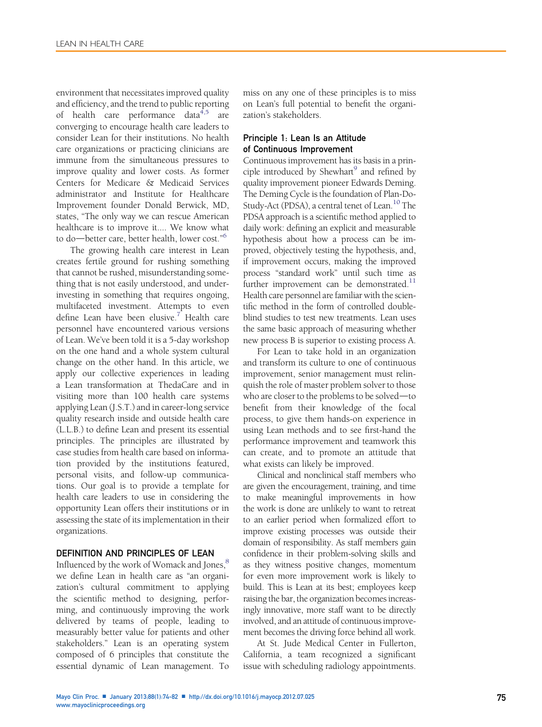environment that necessitates improved quality and efficiency, and the trend to public reporting of health care performance data<sup>[4,5](#page-8-0)</sup> are converging to encourage health care leaders to consider Lean for their institutions. No health care organizations or practicing clinicians are immune from the simultaneous pressures to improve quality and lower costs. As former Centers for Medicare & Medicaid Services administrator and Institute for Healthcare Improvement founder Donald Berwick, MD, states, "The only way we can rescue American healthcare is to improve it.... We know what to do—better care, better health, lower cost."<sup>[6](#page-8-0)</sup>

The growing health care interest in Lean creates fertile ground for rushing something that cannot be rushed, misunderstanding something that is not easily understood, and underinvesting in something that requires ongoing, multifaceted investment. Attempts to even define Lean have been elusive.<sup>7</sup> Health care personnel have encountered various versions of Lean. We've been told it is a 5-day workshop on the one hand and a whole system cultural change on the other hand. In this article, we apply our collective experiences in leading a Lean transformation at ThedaCare and in visiting more than 100 health care systems applying Lean (J.S.T.) and in career-long service quality research inside and outside health care (L.L.B.) to define Lean and present its essential principles. The principles are illustrated by case studies from health care based on information provided by the institutions featured, personal visits, and follow-up communications. Our goal is to provide a template for health care leaders to use in considering the opportunity Lean offers their institutions or in assessing the state of its implementation in their organizations.

## DEFINITION AND PRINCIPLES OF LEAN

Influenced by the work of Womack and Jones,<sup>[8](#page-8-0)</sup> we define Lean in health care as "an organization's cultural commitment to applying the scientific method to designing, performing, and continuously improving the work delivered by teams of people, leading to measurably better value for patients and other stakeholders." Lean is an operating system composed of 6 principles that constitute the essential dynamic of Lean management. To miss on any one of these principles is to miss on Lean's full potential to benefit the organization's stakeholders.

# Principle 1: Lean Is an Attitude of Continuous Improvement

Continuous improvement has its basis in a principle introduced by Shewhart<sup>9</sup> and refined by quality improvement pioneer Edwards Deming. The Deming Cycle is the foundation of Plan-Do-Study-Act (PDSA), a central tenet of Lean.<sup>[10](#page-8-0)</sup> The PDSA approach is a scientific method applied to daily work: defining an explicit and measurable hypothesis about how a process can be improved, objectively testing the hypothesis, and, if improvement occurs, making the improved process "standard work" until such time as further improvement can be demonstrated. $11$ Health care personnel are familiar with the scientific method in the form of controlled doubleblind studies to test new treatments. Lean uses the same basic approach of measuring whether new process B is superior to existing process A.

For Lean to take hold in an organization and transform its culture to one of continuous improvement, senior management must relinquish the role of master problem solver to those who are closer to the problems to be solved-to benefit from their knowledge of the focal process, to give them hands-on experience in using Lean methods and to see first-hand the performance improvement and teamwork this can create, and to promote an attitude that what exists can likely be improved.

Clinical and nonclinical staff members who are given the encouragement, training, and time to make meaningful improvements in how the work is done are unlikely to want to retreat to an earlier period when formalized effort to improve existing processes was outside their domain of responsibility. As staff members gain confidence in their problem-solving skills and as they witness positive changes, momentum for even more improvement work is likely to build. This is Lean at its best; employees keep raising the bar, the organization becomes increasingly innovative, more staff want to be directly involved, and an attitude of continuous improvement becomes the driving force behind all work.

At St. Jude Medical Center in Fullerton, California, a team recognized a significant issue with scheduling radiology appointments.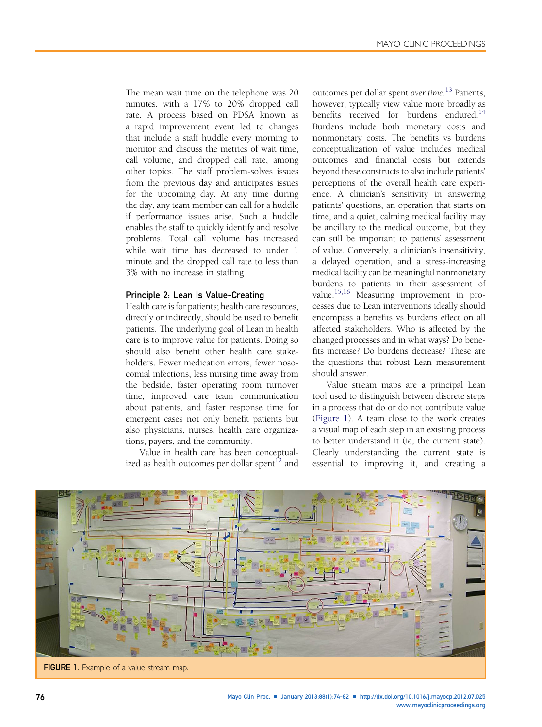The mean wait time on the telephone was 20 minutes, with a 17% to 20% dropped call rate. A process based on PDSA known as a rapid improvement event led to changes that include a staff huddle every morning to monitor and discuss the metrics of wait time, call volume, and dropped call rate, among other topics. The staff problem-solves issues from the previous day and anticipates issues for the upcoming day. At any time during the day, any team member can call for a huddle if performance issues arise. Such a huddle enables the staff to quickly identify and resolve problems. Total call volume has increased while wait time has decreased to under 1 minute and the dropped call rate to less than 3% with no increase in staffing.

#### Principle 2: Lean Is Value-Creating

Health care is for patients; health care resources, directly or indirectly, should be used to benefit patients. The underlying goal of Lean in health care is to improve value for patients. Doing so should also benefit other health care stakeholders. Fewer medication errors, fewer nosocomial infections, less nursing time away from the bedside, faster operating room turnover time, improved care team communication about patients, and faster response time for emergent cases not only benefit patients but also physicians, nurses, health care organizations, payers, and the community.

Value in health care has been conceptualized as health outcomes per dollar spent $12$  and

outcomes per dollar spent *over time*.<sup>[13](#page-8-0)</sup> Patients,<br>however, typically view value more broadly as however, typically view value more broadly as benefits received for burdens endured.<sup>[14](#page-8-0)</sup> Burdens include both monetary costs and nonmonetary costs. The benefits vs burdens conceptualization of value includes medical outcomes and financial costs but extends beyond these constructs to also include patients' perceptions of the overall health care experience. A clinician's sensitivity in answering patients' questions, an operation that starts on time, and a quiet, calming medical facility may be ancillary to the medical outcome, but they can still be important to patients' assessment of value. Conversely, a clinician's insensitivity, a delayed operation, and a stress-increasing medical facility can be meaningful nonmonetary burdens to patients in their assessment of value.<sup>15,16</sup> Measuring improvement in processes due to Lean interventions ideally should encompass a benefits vs burdens effect on all affected stakeholders. Who is affected by the changed processes and in what ways? Do benefits increase? Do burdens decrease? These are the questions that robust Lean measurement should answer.

Value stream maps are a principal Lean tool used to distinguish between discrete steps in a process that do or do not contribute value (Figure 1). A team close to the work creates a visual map of each step in an existing process to better understand it (ie, the current state). Clearly understanding the current state is essential to improving it, and creating a



76 Mayo Clin Proc. <sup>n</sup> January 2013;88(1):74-82 <sup>n</sup> <http://dx.doi.org/10.1016/j.mayocp.2012.07.025> [www.mayoclinicproceedings.org](http://www.mayoclinicproceedings.com)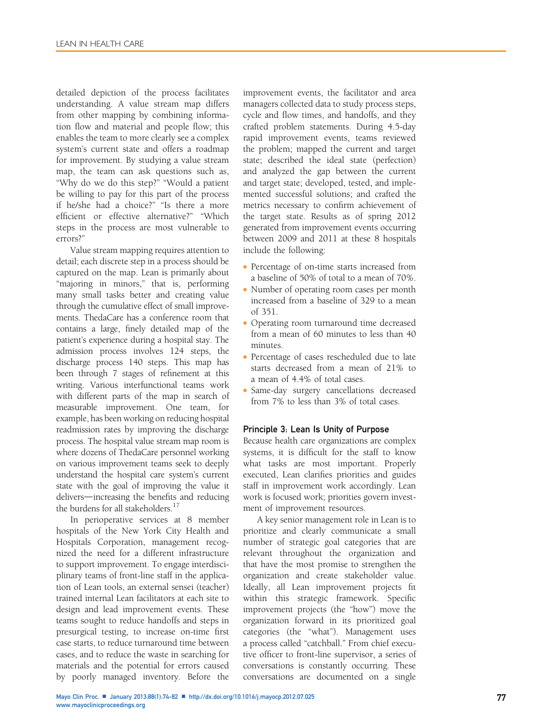detailed depiction of the process facilitates understanding. A value stream map differs from other mapping by combining information flow and material and people flow; this enables the team to more clearly see a complex system's current state and offers a roadmap for improvement. By studying a value stream map, the team can ask questions such as, "Why do we do this step?" "Would a patient be willing to pay for this part of the process if he/she had a choice?" "Is there a more efficient or effective alternative?" "Which steps in the process are most vulnerable to errors?"

Value stream mapping requires attention to detail; each discrete step in a process should be captured on the map. Lean is primarily about "majoring in minors," that is, performing many small tasks better and creating value through the cumulative effect of small improvements. ThedaCare has a conference room that contains a large, finely detailed map of the patient's experience during a hospital stay. The admission process involves 124 steps, the discharge process 140 steps. This map has been through 7 stages of refinement at this writing. Various interfunctional teams work with different parts of the map in search of measurable improvement. One team, for example, has been working on reducing hospital readmission rates by improving the discharge process. The hospital value stream map room is where dozens of ThedaCare personnel working on various improvement teams seek to deeply understand the hospital care system's current state with the goal of improving the value it delivers-increasing the benefits and reducing the burdens for all stakeholders.<sup>[17](#page-8-0)</sup>

In perioperative services at 8 member hospitals of the New York City Health and Hospitals Corporation, management recognized the need for a different infrastructure to support improvement. To engage interdisciplinary teams of front-line staff in the application of Lean tools, an external sensei (teacher) trained internal Lean facilitators at each site to design and lead improvement events. These teams sought to reduce handoffs and steps in presurgical testing, to increase on-time first case starts, to reduce turnaround time between cases, and to reduce the waste in searching for materials and the potential for errors caused by poorly managed inventory. Before the

improvement events, the facilitator and area managers collected data to study process steps, cycle and flow times, and handoffs, and they crafted problem statements. During 4.5-day rapid improvement events, teams reviewed the problem; mapped the current and target state; described the ideal state (perfection) and analyzed the gap between the current and target state; developed, tested, and implemented successful solutions; and crafted the metrics necessary to confirm achievement of the target state. Results as of spring 2012 generated from improvement events occurring between 2009 and 2011 at these 8 hospitals include the following:

- Percentage of on-time starts increased from a baseline of 50% of total to a mean of 70%.
- Number of operating room cases per month increased from a baseline of 329 to a mean of 351.
- Operating room turnaround time decreased from a mean of 60 minutes to less than 40 minutes.
- Percentage of cases rescheduled due to late starts decreased from a mean of 21% to a mean of 4.4% of total cases.
- Same-day surgery cancellations decreased from 7% to less than 3% of total cases.

## Principle 3: Lean Is Unity of Purpose

Because health care organizations are complex systems, it is difficult for the staff to know what tasks are most important. Properly executed, Lean clarifies priorities and guides staff in improvement work accordingly. Lean work is focused work; priorities govern investment of improvement resources.

A key senior management role in Lean is to prioritize and clearly communicate a small number of strategic goal categories that are relevant throughout the organization and that have the most promise to strengthen the organization and create stakeholder value. Ideally, all Lean improvement projects fit within this strategic framework. Specific improvement projects (the "how") move the organization forward in its prioritized goal categories (the "what"). Management uses a process called "catchball." From chief executive officer to front-line supervisor, a series of conversations is constantly occurring. These conversations are documented on a single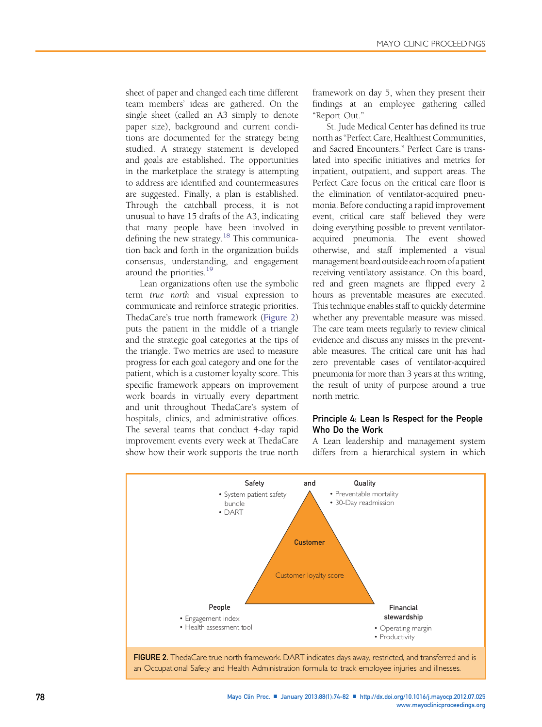sheet of paper and changed each time different team members' ideas are gathered. On the single sheet (called an A3 simply to denote paper size), background and current conditions are documented for the strategy being studied. A strategy statement is developed and goals are established. The opportunities in the marketplace the strategy is attempting to address are identified and countermeasures are suggested. Finally, a plan is established. Through the catchball process, it is not unusual to have 15 drafts of the A3, indicating that many people have been involved in defining the new strategy.<sup>[18](#page-8-0)</sup> This communication back and forth in the organization builds consensus, understanding, and engagement around the priorities.<sup>[19](#page-8-0)</sup>

Lean organizations often use the symbolic term true north and visual expression to communicate and reinforce strategic priorities. ThedaCare's true north framework (Figure 2) puts the patient in the middle of a triangle and the strategic goal categories at the tips of the triangle. Two metrics are used to measure progress for each goal category and one for the patient, which is a customer loyalty score. This specific framework appears on improvement work boards in virtually every department and unit throughout ThedaCare's system of hospitals, clinics, and administrative offices. The several teams that conduct 4-day rapid improvement events every week at ThedaCare show how their work supports the true north framework on day 5, when they present their findings at an employee gathering called "Report Out."

St. Jude Medical Center has defined its true north as"Perfect Care, Healthiest Communities, and Sacred Encounters." Perfect Care is translated into specific initiatives and metrics for inpatient, outpatient, and support areas. The Perfect Care focus on the critical care floor is the elimination of ventilator-acquired pneumonia. Before conducting a rapid improvement event, critical care staff believed they were doing everything possible to prevent ventilatoracquired pneumonia. The event showed otherwise, and staff implemented a visual management board outside each room of a patient receiving ventilatory assistance. On this board, red and green magnets are flipped every 2 hours as preventable measures are executed. This technique enables staff to quickly determine whether any preventable measure was missed. The care team meets regularly to review clinical evidence and discuss any misses in the preventable measures. The critical care unit has had zero preventable cases of ventilator-acquired pneumonia for more than 3 years at this writing, the result of unity of purpose around a true north metric.

#### Principle 4: Lean Is Respect for the People Who Do the Work

A Lean leadership and management system differs from a hierarchical system in which



an Occupational Safety and Health Administration formula to track employee injuries and illnesses.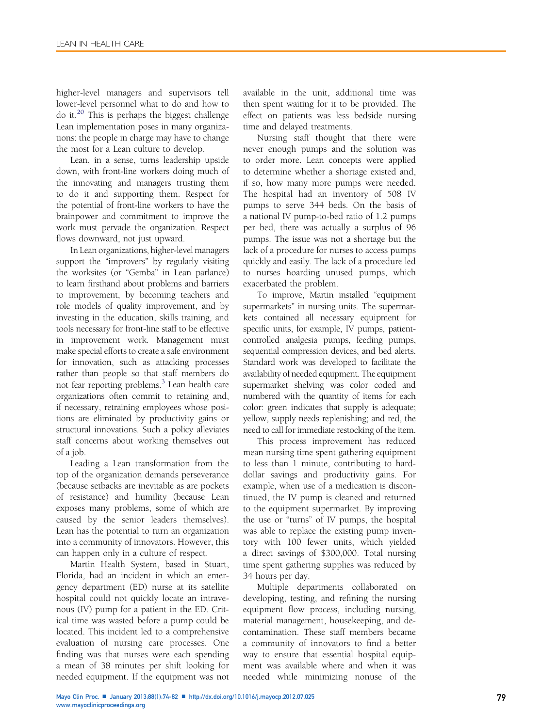higher-level managers and supervisors tell lower-level personnel what to do and how to do it.<sup>[20](#page-8-0)</sup> This is perhaps the biggest challenge Lean implementation poses in many organizations: the people in charge may have to change the most for a Lean culture to develop.

Lean, in a sense, turns leadership upside down, with front-line workers doing much of the innovating and managers trusting them to do it and supporting them. Respect for the potential of front-line workers to have the brainpower and commitment to improve the work must pervade the organization. Respect flows downward, not just upward.

In Lean organizations, higher-level managers support the "improvers" by regularly visiting the worksites (or "Gemba" in Lean parlance) to learn firsthand about problems and barriers to improvement, by becoming teachers and role models of quality improvement, and by investing in the education, skills training, and tools necessary for front-line staff to be effective in improvement work. Management must make special efforts to create a safe environment for innovation, such as attacking processes rather than people so that staff members do not fear reporting problems.<sup>[3](#page-8-0)</sup> Lean health care organizations often commit to retaining and, if necessary, retraining employees whose positions are eliminated by productivity gains or structural innovations. Such a policy alleviates staff concerns about working themselves out of a job.

Leading a Lean transformation from the top of the organization demands perseverance (because setbacks are inevitable as are pockets of resistance) and humility (because Lean exposes many problems, some of which are caused by the senior leaders themselves). Lean has the potential to turn an organization into a community of innovators. However, this can happen only in a culture of respect.

Martin Health System, based in Stuart, Florida, had an incident in which an emergency department (ED) nurse at its satellite hospital could not quickly locate an intravenous (IV) pump for a patient in the ED. Critical time was wasted before a pump could be located. This incident led to a comprehensive evaluation of nursing care processes. One finding was that nurses were each spending a mean of 38 minutes per shift looking for needed equipment. If the equipment was not

available in the unit, additional time was then spent waiting for it to be provided. The effect on patients was less bedside nursing time and delayed treatments.

Nursing staff thought that there were never enough pumps and the solution was to order more. Lean concepts were applied to determine whether a shortage existed and, if so, how many more pumps were needed. The hospital had an inventory of 508 IV pumps to serve 344 beds. On the basis of a national IV pump-to-bed ratio of 1.2 pumps per bed, there was actually a surplus of 96 pumps. The issue was not a shortage but the lack of a procedure for nurses to access pumps quickly and easily. The lack of a procedure led to nurses hoarding unused pumps, which exacerbated the problem.

To improve, Martin installed "equipment supermarkets" in nursing units. The supermarkets contained all necessary equipment for specific units, for example, IV pumps, patientcontrolled analgesia pumps, feeding pumps, sequential compression devices, and bed alerts. Standard work was developed to facilitate the availability of needed equipment. The equipment supermarket shelving was color coded and numbered with the quantity of items for each color: green indicates that supply is adequate; yellow, supply needs replenishing; and red, the need to call for immediate restocking of the item.

This process improvement has reduced mean nursing time spent gathering equipment to less than 1 minute, contributing to harddollar savings and productivity gains. For example, when use of a medication is discontinued, the IV pump is cleaned and returned to the equipment supermarket. By improving the use or "turns" of IV pumps, the hospital was able to replace the existing pump inventory with 100 fewer units, which yielded a direct savings of \$300,000. Total nursing time spent gathering supplies was reduced by 34 hours per day.

Multiple departments collaborated on developing, testing, and refining the nursing equipment flow process, including nursing, material management, housekeeping, and decontamination. These staff members became a community of innovators to find a better way to ensure that essential hospital equipment was available where and when it was needed while minimizing nonuse of the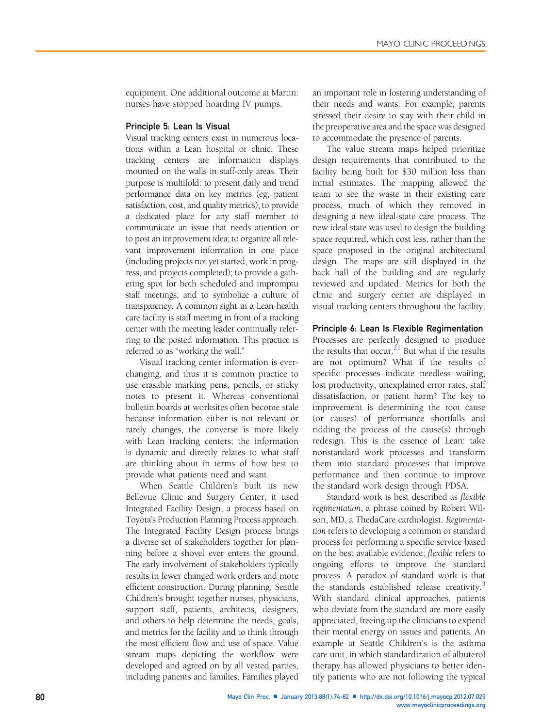equipment. One additional outcome at Martin: nurses have stopped hoarding IV pumps.

## Principle 5: Lean Is Visual

Visual tracking centers exist in numerous locations within a Lean hospital or clinic. These tracking centers are information displays mounted on the walls in staff-only areas. Their purpose is multifold: to present daily and trend performance data on key metrics (eg, patient satisfaction, cost, and quality metrics); to provide a dedicated place for any staff member to communicate an issue that needs attention or to post an improvement idea; to organize all relevant improvement information in one place (including projects not yet started, work in progress, and projects completed); to provide a gathering spot for both scheduled and impromptu staff meetings; and to symbolize a culture of transparency. A common sight in a Lean health care facility is staff meeting in front of a tracking center with the meeting leader continually referring to the posted information. This practice is referred to as "working the wall."

Visual tracking center information is everchanging, and thus it is common practice to use erasable marking pens, pencils, or sticky notes to present it. Whereas conventional bulletin boards at worksites often become stale because information either is not relevant or rarely changes, the converse is more likely with Lean tracking centers; the information is dynamic and directly relates to what staff are thinking about in terms of how best to provide what patients need and want.

When Seattle Children's built its new Bellevue Clinic and Surgery Center, it used Integrated Facility Design, a process based on Toyota's Production Planning Process approach. The Integrated Facility Design process brings a diverse set of stakeholders together for planning before a shovel ever enters the ground. The early involvement of stakeholders typically results in fewer changed work orders and more efficient construction. During planning, Seattle Children's brought together nurses, physicians, support staff, patients, architects, designers, and others to help determine the needs, goals, and metrics for the facility and to think through the most efficient flow and use of space. Value stream maps depicting the workflow were developed and agreed on by all vested parties, including patients and families. Families played

an important role in fostering understanding of their needs and wants. For example, parents stressed their desire to stay with their child in the preoperative area and the space was designed to accommodate the presence of parents.

The value stream maps helped prioritize design requirements that contributed to the facility being built for \$30 million less than initial estimates. The mapping allowed the team to see the waste in their existing care process, much of which they removed in designing a new ideal-state care process. The new ideal state was used to design the building space required, which cost less, rather than the space proposed in the original architectural design. The maps are still displayed in the back hall of the building and are regularly reviewed and updated. Metrics for both the clinic and surgery center are displayed in visual tracking centers throughout the facility.

## Principle 6: Lean Is Flexible Regimentation

Processes are perfectly designed to produce the results that occur.<sup>[21](#page-8-0)</sup> But what if the results are not optimum? What if the results of specific processes indicate needless waiting, lost productivity, unexplained error rates, staff dissatisfaction, or patient harm? The key to improvement is determining the root cause (or causes) of performance shortfalls and ridding the process of the cause(s) through redesign. This is the essence of Lean: take nonstandard work processes and transform them into standard processes that improve performance and then continue to improve the standard work design through PDSA.

Standard work is best described as flexible regimentation, a phrase coined by Robert Wilson, MD, a ThedaCare cardiologist. Regimentation refers to developing a common or standard process for performing a specific service based on the best available evidence; flexible refers to ongoing efforts to improve the standard process. A paradox of standard work is that the standards established release creativity. $3$ With standard clinical approaches, patients who deviate from the standard are more easily appreciated, freeing up the clinicians to expend their mental energy on issues and patients. An example at Seattle Children's is the asthma care unit, in which standardization of albuterol therapy has allowed physicians to better identify patients who are not following the typical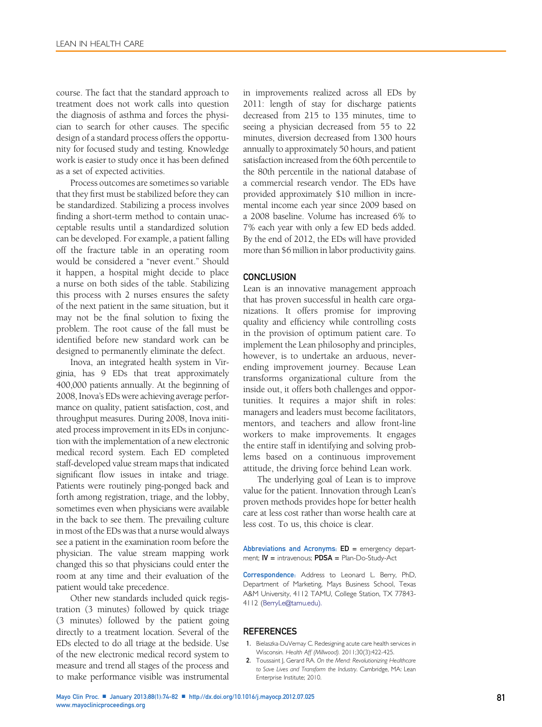<span id="page-7-0"></span>course. The fact that the standard approach to treatment does not work calls into question the diagnosis of asthma and forces the physician to search for other causes. The specific design of a standard process offers the opportunity for focused study and testing. Knowledge work is easier to study once it has been defined as a set of expected activities.

Process outcomes are sometimes so variable that they first must be stabilized before they can be standardized. Stabilizing a process involves finding a short-term method to contain unacceptable results until a standardized solution can be developed. For example, a patient falling off the fracture table in an operating room would be considered a "never event." Should it happen, a hospital might decide to place a nurse on both sides of the table. Stabilizing this process with 2 nurses ensures the safety of the next patient in the same situation, but it may not be the final solution to fixing the problem. The root cause of the fall must be identified before new standard work can be designed to permanently eliminate the defect.

Inova, an integrated health system in Virginia, has 9 EDs that treat approximately 400,000 patients annually. At the beginning of 2008, Inova's EDs were achieving average performance on quality, patient satisfaction, cost, and throughput measures. During 2008, Inova initiated process improvement in its EDs in conjunction with the implementation of a new electronic medical record system. Each ED completed staff-developed value stream maps that indicated significant flow issues in intake and triage. Patients were routinely ping-ponged back and forth among registration, triage, and the lobby, sometimes even when physicians were available in the back to see them. The prevailing culture in most of the EDs was that a nurse would always see a patient in the examination room before the physician. The value stream mapping work changed this so that physicians could enter the room at any time and their evaluation of the patient would take precedence.

Other new standards included quick registration (3 minutes) followed by quick triage (3 minutes) followed by the patient going directly to a treatment location. Several of the EDs elected to do all triage at the bedside. Use of the new electronic medical record system to measure and trend all stages of the process and to make performance visible was instrumental

in improvements realized across all EDs by 2011: length of stay for discharge patients decreased from 215 to 135 minutes, time to seeing a physician decreased from 55 to 22 minutes, diversion decreased from 1300 hours annually to approximately 50 hours, and patient satisfaction increased from the 60th percentile to the 80th percentile in the national database of a commercial research vendor. The EDs have provided approximately \$10 million in incremental income each year since 2009 based on a 2008 baseline. Volume has increased 6% to 7% each year with only a few ED beds added. By the end of 2012, the EDs will have provided more than \$6 million in labor productivity gains.

#### **CONCLUSION**

Lean is an innovative management approach that has proven successful in health care organizations. It offers promise for improving quality and efficiency while controlling costs in the provision of optimum patient care. To implement the Lean philosophy and principles, however, is to undertake an arduous, neverending improvement journey. Because Lean transforms organizational culture from the inside out, it offers both challenges and opportunities. It requires a major shift in roles: managers and leaders must become facilitators, mentors, and teachers and allow front-line workers to make improvements. It engages the entire staff in identifying and solving problems based on a continuous improvement attitude, the driving force behind Lean work.

The underlying goal of Lean is to improve value for the patient. Innovation through Lean's proven methods provides hope for better health care at less cost rather than worse health care at less cost. To us, this choice is clear.

Abbreviations and Acronyms: ED = emergency department; IV = intravenous; PDSA = Plan-Do-Study-Act

Correspondence: Address to Leonard L. Berry, PhD, Department of Marketing, Mays Business School, Texas A&M University, 4112 TAMU, College Station, TX 77843- 4112 ([BerryLe@tamu.edu\).](mailto:BerryLe@tamu.edu)

#### **REFERENCES**

- 1. Bielaszka-DuVernay C. Redesigning acute care health services in Wisconsin. Health Aff (Millwood). 2011;30(3):422-425.
- 2. Toussaint J, Gerard RA. On the Mend: Revolutionizing Healthcare to Save Lives and Transform the Industry. Cambridge, MA: Lean Enterprise Institute; 2010.